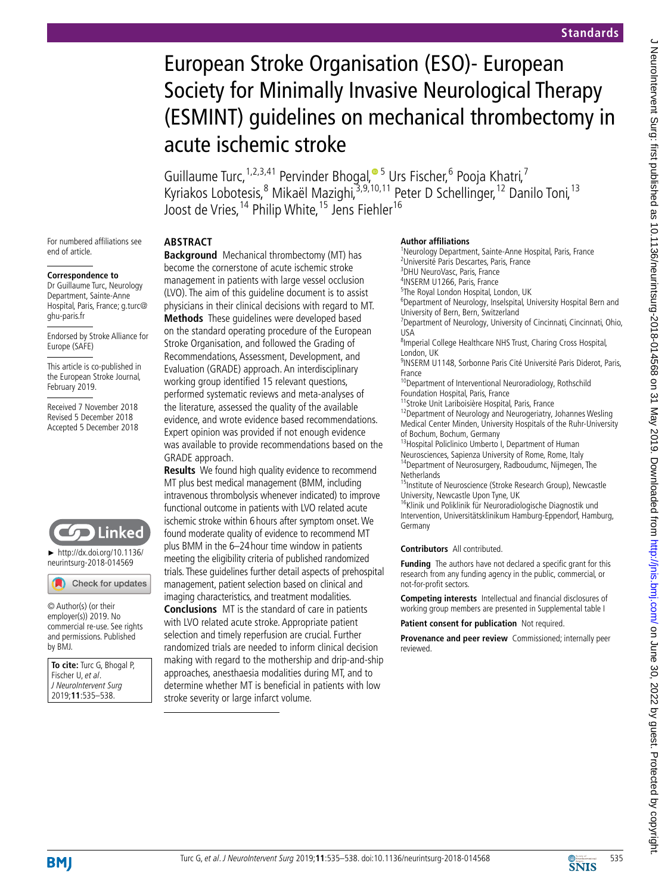# European Stroke Organisation (ESO)- European Society for Minimally Invasive Neurological Therapy (ESMINT) guidelines on mechanical thrombectomy in acute ischemic stroke

Guillaume Turc, <sup>1,2,3,41</sup> Pervinder Bhogal, <sup>• 5</sup> Urs Fischer, <sup>6</sup> Pooja Khatri, <sup>7</sup> Kyriakos Lobotesis,<sup>8</sup> Mikaël Mazighi,<sup>3,9,[10](http://orcid.org/0000-0002-5514-5237),11</sup> Peter D Schellinger,<sup>12</sup> Danilo Toni,<sup>13</sup> Joost de Vries,14 Philip White,15 Jens Fiehler16

For numbered affiliations see end of article.

#### **Correspondence to**

Dr Guillaume Turc, Neurology Department, Sainte-Anne Hospital, Paris, France; g.turc@ ghu-paris.fr

Endorsed by Stroke Alliance for Europe (SAFE)

This article is co-published in the European Stroke Journal, February 2019.

Received 7 November 2018 Revised 5 December 2018 Accepted 5 December 2018



► [http://dx.doi.org/10.1136/](http://dx.doi.org/10.1136/neurintsurg-2018-014569) [neurintsurg-2018-014569](http://dx.doi.org/10.1136/neurintsurg-2018-014569)

Check for updates

© Author(s) (or their employer(s)) 2019. No commercial re-use. See rights and permissions. Published by BMJ.

**To cite:** Turc G, Bhogal P, Fischer U, et al. J NeuroIntervent Surg 2019;**11**:535–538.

# **Abstract**

**Background** Mechanical thrombectomy (MT) has become the cornerstone of acute ischemic stroke management in patients with large vessel occlusion (LVO). The aim of this guideline document is to assist physicians in their clinical decisions with regard to MT. **Methods** These guidelines were developed based on the standard operating procedure of the European Stroke Organisation, and followed the Grading of Recommendations, Assessment, Development, and Evaluation (GRADE) approach. An interdisciplinary working group identified 15 relevant questions. performed systematic reviews and meta-analyses of the literature, assessed the quality of the available evidence, and wrote evidence based recommendations. Expert opinion was provided if not enough evidence was available to provide recommendations based on the GRADE approach.

**Results** We found high quality evidence to recommend MT plus best medical management (BMM, including intravenous thrombolysis whenever indicated) to improve functional outcome in patients with LVO related acute ischemic stroke within 6hours after symptom onset. We found moderate quality of evidence to recommend MT plus BMM in the 6–24hour time window in patients meeting the eligibility criteria of published randomized trials. These guidelines further detail aspects of prehospital management, patient selection based on clinical and imaging characteristics, and treatment modalities. **Conclusions** MT is the standard of care in patients with LVO related acute stroke. Appropriate patient selection and timely reperfusion are crucial. Further randomized trials are needed to inform clinical decision making with regard to the mothership and drip-and-ship approaches, anesthaesia modalities during MT, and to

determine whether MT is beneficial in patients with low

stroke severity or large infarct volume.

#### **Author affiliations**

<sup>1</sup>Neurology Department, Sainte-Anne Hospital, Paris, France 2 Université Paris Descartes, Paris, France 3 DHU NeuroVasc, Paris, France 4 INSERM U1266, Paris, France 5 The Royal London Hospital, London, UK <sup>6</sup>Department of Neurology, Inselspital, University Hospital Bern and University of Bern, Bern, Switzerland <sup>7</sup> Department of Neurology, University of Cincinnati, Cincinnati, Ohio, USA 8 Imperial College Healthcare NHS Trust, Charing Cross Hospital, London, UK <sup>9</sup>INSERM U1148, Sorbonne Paris Cité Université Paris Diderot, Paris, France <sup>10</sup>Department of Interventional Neuroradiology, Rothschild Foundation Hospital, Paris, France <sup>11</sup>Stroke Unit Lariboisière Hospital, Paris, France <sup>12</sup>Department of Neurology and Neurogeriatry, Johannes Wesling Medical Center Minden, University Hospitals of the Ruhr-University of Bochum, Bochum, Germany <sup>13</sup> Hospital Policlinico Umberto I, Department of Human

Neurosciences, Sapienza University of Rome, Rome, Italy <sup>14</sup>Department of Neurosurgery, Radboudumc, Nijmegen, The **Netherlands** 

<sup>5</sup>Institute of Neuroscience (Stroke Research Group), Newcastle University, Newcastle Upon Tyne, UK

<sup>16</sup>Klinik und Poliklinik für Neuroradiologische Diagnostik und Intervention, Universitätsklinikum Hamburg-Eppendorf, Hamburg, Germany

### **Contributors** All contributed.

**Funding** The authors have not declared a specific grant for this research from any funding agency in the public, commercial, or not-for-profit sectors.

**Competing interests** Intellectual and financial disclosures of working group members are presented in Supplemental table I

**Patient consent for publication** Not required.

**Provenance and peer review** Commissioned; internally peer reviewed.

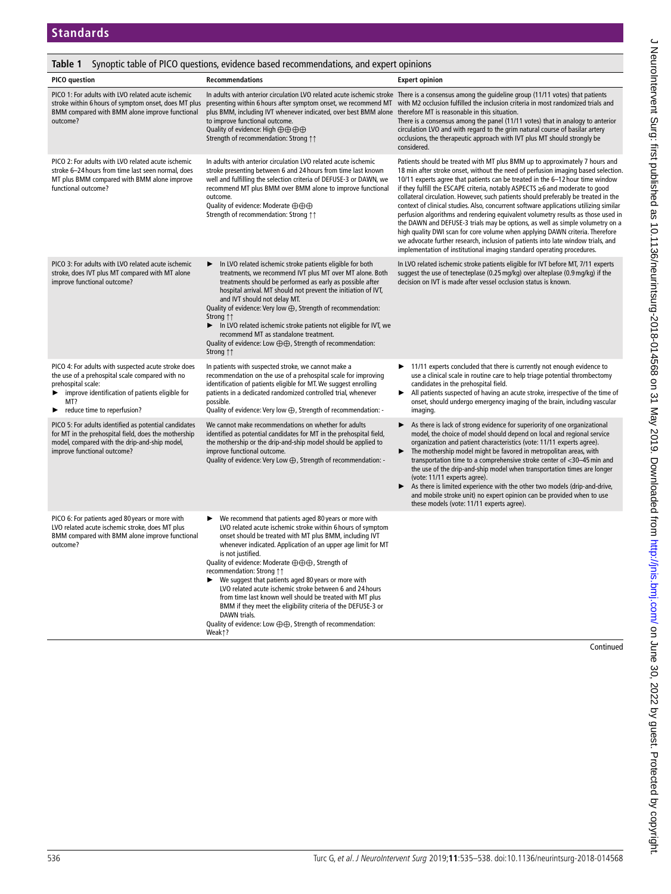## **Table 1** Synoptic table of PICO questions, evidence based recommendations, and expert opinions

| <b>PICO</b> question                                                                                                                                                                                                  | <b>Recommendations</b>                                                                                                                                                                                                                                                                                                                                                                                                                                                                                                                                                                                                                                                                                      | <b>Expert opinion</b>                                                                                                                                                                                                                                                                                                                                                                                                                                                                                                                                                                                                                                                                                                                                                                                                                                                                                                               |
|-----------------------------------------------------------------------------------------------------------------------------------------------------------------------------------------------------------------------|-------------------------------------------------------------------------------------------------------------------------------------------------------------------------------------------------------------------------------------------------------------------------------------------------------------------------------------------------------------------------------------------------------------------------------------------------------------------------------------------------------------------------------------------------------------------------------------------------------------------------------------------------------------------------------------------------------------|-------------------------------------------------------------------------------------------------------------------------------------------------------------------------------------------------------------------------------------------------------------------------------------------------------------------------------------------------------------------------------------------------------------------------------------------------------------------------------------------------------------------------------------------------------------------------------------------------------------------------------------------------------------------------------------------------------------------------------------------------------------------------------------------------------------------------------------------------------------------------------------------------------------------------------------|
| PICO 1: For adults with LVO related acute ischemic<br>stroke within 6 hours of symptom onset, does MT plus<br>BMM compared with BMM alone improve functional<br>outcome?                                              | plus BMM, including IVT whenever indicated, over best BMM alone therefore MT is reasonable in this situation.<br>to improve functional outcome.<br>Quality of evidence: High $\oplus$ $\oplus$ $\oplus$ $\oplus$<br>Strength of recommendation: Strong ↑↑                                                                                                                                                                                                                                                                                                                                                                                                                                                   | In adults with anterior circulation LVO related acute ischemic stroke There is a consensus among the guideline group (11/11 votes) that patients<br>presenting within 6 hours after symptom onset, we recommend MT with M2 occlusion fulfilled the inclusion criteria in most randomized trials and<br>There is a consensus among the panel (11/11 votes) that in analogy to anterior<br>circulation LVO and with regard to the grim natural course of basilar artery<br>occlusions, the therapeutic approach with IVT plus MT should strongly be<br>considered.                                                                                                                                                                                                                                                                                                                                                                    |
| PICO 2: For adults with LVO related acute ischemic<br>stroke 6-24 hours from time last seen normal, does<br>MT plus BMM compared with BMM alone improve<br>functional outcome?                                        | In adults with anterior circulation LVO related acute ischemic<br>stroke presenting between 6 and 24 hours from time last known<br>well and fulfilling the selection criteria of DEFUSE-3 or DAWN, we<br>recommend MT plus BMM over BMM alone to improve functional<br>outcome.<br>Quality of evidence: Moderate ⊕⊕⊕<br>Strength of recommendation: Strong 11                                                                                                                                                                                                                                                                                                                                               | Patients should be treated with MT plus BMM up to approximately 7 hours and<br>18 min after stroke onset, without the need of perfusion imaging based selection.<br>10/11 experts agree that patients can be treated in the 6-12 hour time window<br>if they fulfill the ESCAPE criteria, notably ASPECTS ≥6 and moderate to good<br>collateral circulation. However, such patients should preferably be treated in the<br>context of clinical studies. Also, concurrent software applications utilizing similar<br>perfusion algorithms and rendering equivalent volumetry results as those used in<br>the DAWN and DEFUSE-3 trials may be options, as well as simple volumetry on a<br>high quality DWI scan for core volume when applying DAWN criteria. Therefore<br>we advocate further research, inclusion of patients into late window trials, and<br>implementation of institutional imaging standard operating procedures. |
| PICO 3: For adults with LVO related acute ischemic<br>stroke, does IVT plus MT compared with MT alone<br>improve functional outcome?                                                                                  | In LVO related ischemic stroke patients eligible for both<br>►<br>treatments, we recommend IVT plus MT over MT alone. Both<br>treatments should be performed as early as possible after<br>hospital arrival. MT should not prevent the initiation of IVT,<br>and IVT should not delay MT.<br>Quality of evidence: Very low $\bigoplus$ , Strength of recommendation:<br>Strong 11<br>In LVO related ischemic stroke patients not eligible for IVT, we<br>▶<br>recommend MT as standalone treatment.<br>Quality of evidence: Low $\oplus \oplus$ , Strength of recommendation:<br>Strong 11                                                                                                                  | In LVO related ischemic stroke patients eligible for IVT before MT, 7/11 experts<br>suggest the use of tenecteplase (0.25 mg/kg) over alteplase (0.9 mg/kg) if the<br>decision on IVT is made after vessel occlusion status is known.                                                                                                                                                                                                                                                                                                                                                                                                                                                                                                                                                                                                                                                                                               |
| PICO 4: For adults with suspected acute stroke does<br>the use of a prehospital scale compared with no<br>prehospital scale:<br>improve identification of patients eligible for<br>MT?<br>reduce time to reperfusion? | In patients with suspected stroke, we cannot make a<br>recommendation on the use of a prehospital scale for improving<br>identification of patients eligible for MT. We suggest enrolling<br>patients in a dedicated randomized controlled trial, whenever<br>possible.<br>Quality of evidence: Very low $\bigoplus$ , Strength of recommendation: -                                                                                                                                                                                                                                                                                                                                                        | 11/11 experts concluded that there is currently not enough evidence to<br>use a clinical scale in routine care to help triage potential thrombectomy<br>candidates in the prehospital field.<br>All patients suspected of having an acute stroke, irrespective of the time of<br>▶<br>onset, should undergo emergency imaging of the brain, including vascular<br>imaging.                                                                                                                                                                                                                                                                                                                                                                                                                                                                                                                                                          |
| PICO 5: For adults identified as potential candidates<br>for MT in the prehospital field, does the mothership<br>model, compared with the drip-and-ship model,<br>improve functional outcome?                         | We cannot make recommendations on whether for adults<br>identified as potential candidates for MT in the prehospital field,<br>the mothership or the drip-and-ship model should be applied to<br>improve functional outcome.<br>Quality of evidence: Very Low $\bigoplus$ , Strength of recommendation: -                                                                                                                                                                                                                                                                                                                                                                                                   | As there is lack of strong evidence for superiority of one organizational<br>model, the choice of model should depend on local and regional service<br>organization and patient characteristics (vote: 11/11 experts agree).<br>The mothership model might be favored in metropolitan areas, with<br>transportation time to a comprehensive stroke center of <30-45 min and<br>the use of the drip-and-ship model when transportation times are longer<br>(vote: 11/11 experts agree).<br>As there is limited experience with the other two models (drip-and-drive,<br>▶<br>and mobile stroke unit) no expert opinion can be provided when to use<br>these models (vote: 11/11 experts agree).                                                                                                                                                                                                                                      |
| PICO 6: For patients aged 80 years or more with<br>LVO related acute ischemic stroke, does MT plus<br>BMM compared with BMM alone improve functional<br>outcome?                                                      | We recommend that patients aged 80 years or more with<br>▶<br>LVO related acute ischemic stroke within 6 hours of symptom<br>onset should be treated with MT plus BMM, including IVT<br>whenever indicated. Application of an upper age limit for MT<br>is not justified.<br>Quality of evidence: Moderate ⊕⊕⊕, Strength of<br>recommendation: Strong 11<br>We suggest that patients aged 80 years or more with<br>LVO related acute ischemic stroke between 6 and 24 hours<br>from time last known well should be treated with MT plus<br>BMM if they meet the eligibility criteria of the DEFUSE-3 or<br>DAWN trials.<br>Quality of evidence: Low $\oplus \oplus$ , Strength of recommendation:<br>Weak1? |                                                                                                                                                                                                                                                                                                                                                                                                                                                                                                                                                                                                                                                                                                                                                                                                                                                                                                                                     |

Continued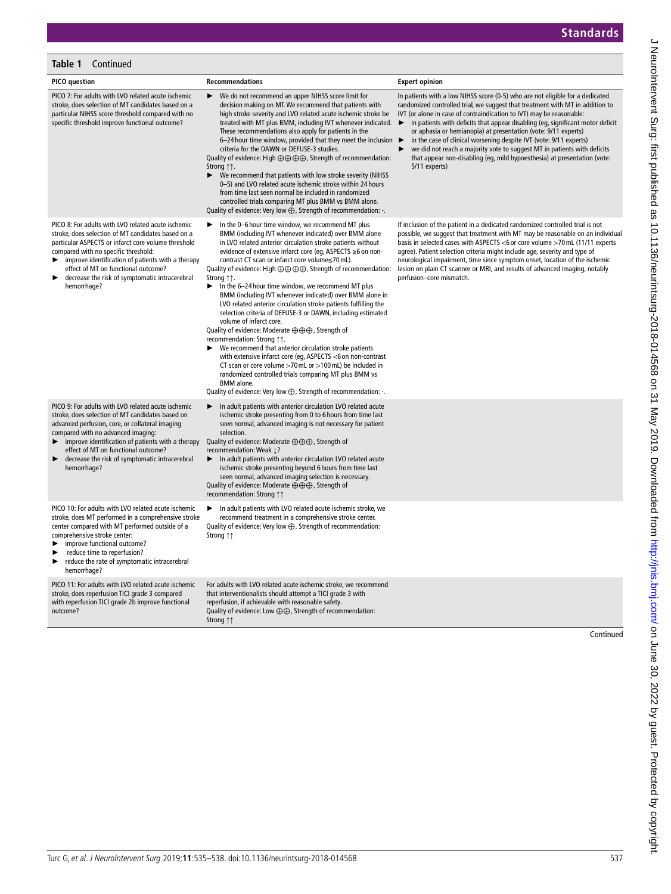## **Table 1** Continued

| <b>PICO</b> question                                                                                                                                                                                                                                                                                                                                                      | <b>Recommendations</b>                                                                                                                                                                                                                                                                                                                                                                                                                                                                                                                                                                                                                                                                                                                                                                                                                                                                                                                                                                                                                                                                                                                        | <b>Expert opinion</b>                                                                                                                                                                                                                                                                                                                                                                                                                                                                                                                                                                                                                                              |
|---------------------------------------------------------------------------------------------------------------------------------------------------------------------------------------------------------------------------------------------------------------------------------------------------------------------------------------------------------------------------|-----------------------------------------------------------------------------------------------------------------------------------------------------------------------------------------------------------------------------------------------------------------------------------------------------------------------------------------------------------------------------------------------------------------------------------------------------------------------------------------------------------------------------------------------------------------------------------------------------------------------------------------------------------------------------------------------------------------------------------------------------------------------------------------------------------------------------------------------------------------------------------------------------------------------------------------------------------------------------------------------------------------------------------------------------------------------------------------------------------------------------------------------|--------------------------------------------------------------------------------------------------------------------------------------------------------------------------------------------------------------------------------------------------------------------------------------------------------------------------------------------------------------------------------------------------------------------------------------------------------------------------------------------------------------------------------------------------------------------------------------------------------------------------------------------------------------------|
| PICO 7: For adults with LVO related acute ischemic<br>stroke, does selection of MT candidates based on a<br>particular NIHSS score threshold compared with no<br>specific threshold improve functional outcome?                                                                                                                                                           | We do not recommend an upper NIHSS score limit for<br>decision making on MT. We recommend that patients with<br>high stroke severity and LVO related acute ischemic stroke be<br>treated with MT plus BMM, including IVT whenever indicated.<br>These recommendations also apply for patients in the<br>6-24 hour time window, provided that they meet the inclusion $\blacktriangleright$<br>criteria for the DAWN or DEFUSE-3 studies.<br>Quality of evidence: High $\oplus$ $\oplus$ $\oplus$ $\oplus$ . Strength of recommendation:<br>Strong 11.<br>We recommend that patients with low stroke severity (NIHSS<br>▶<br>0-5) and LVO related acute ischemic stroke within 24 hours<br>from time last seen normal be included in randomized<br>controlled trials comparing MT plus BMM vs BMM alone.<br>Quality of evidence: Very low $\bigoplus$ , Strength of recommendation: -.                                                                                                                                                                                                                                                         | In patients with a low NIHSS score (0-5) who are not eligible for a dedicated<br>randomized controlled trial, we suggest that treatment with MT in addition to<br>IVT (or alone in case of contraindication to IVT) may be reasonable:<br>in patients with deficits that appear disabling (eq, significant motor deficit<br>$\blacktriangleright$<br>or aphasia or hemianopia) at presentation (vote: 9/11 experts)<br>in the case of clinical worsening despite IVT (vote: 9/11 experts)<br>we did not reach a majority vote to suggest MT in patients with deficits<br>that appear non-disabling (eg, mild hypoesthesia) at presentation (vote:<br>5/11 experts) |
| PICO 8: For adults with LVO related acute ischemic<br>stroke, does selection of MT candidates based on a<br>particular ASPECTS or infarct core volume threshold<br>compared with no specific threshold:<br>improve identification of patients with a therapy<br>▶<br>effect of MT on functional outcome?<br>decrease the risk of symptomatic intracerebral<br>hemorrhage? | In the 0-6 hour time window, we recommend MT plus<br>BMM (including IVT whenever indicated) over BMM alone<br>in LVO related anterior circulation stroke patients without<br>evidence of extensive infarct core (eq, ASPECTS ≥6 on non-<br>contrast CT scan or infarct core volume≤70 mL).<br>Quality of evidence: High $\oplus$ $\oplus$ $\oplus$ $\oplus$ , Strength of recommendation:<br>Strong 11.<br>In the 6-24 hour time window, we recommend MT plus<br>▶<br>BMM (including IVT whenever indicated) over BMM alone in<br>LVO related anterior circulation stroke patients fulfilling the<br>selection criteria of DEFUSE-3 or DAWN, including estimated<br>volume of infarct core.<br>Quality of evidence: Moderate ⊕⊕⊕, Strength of<br>recommendation: Strong $\uparrow\uparrow$ .<br>We recommend that anterior circulation stroke patients<br>with extensive infarct core (eg, ASPECTS <6 on non-contrast<br>CT scan or core volume >70 mL or >100 mL) be included in<br>randomized controlled trials comparing MT plus BMM vs<br><b>BMM</b> alone.<br>Quality of evidence: Very low $\bigoplus$ , Strength of recommendation: -. | If inclusion of the patient in a dedicated randomized controlled trial is not<br>possible, we suggest that treatment with MT may be reasonable on an individual<br>basis in selected cases with ASPECTS <6 or core volume >70 mL (11/11 experts<br>agree). Patient selection criteria might include age, severity and type of<br>neurological impairment, time since symptom onset, location of the ischemic<br>lesion on plain CT scanner or MRI, and results of advanced imaging, notably<br>perfusion-core mismatch.                                                                                                                                            |
| PICO 9: For adults with LVO related acute ischemic<br>stroke, does selection of MT candidates based on<br>advanced perfusion, core, or collateral imaging<br>compared with no advanced imaging:<br>improve identification of patients with a therapy<br>▶<br>effect of MT on functional outcome?<br>decrease the risk of symptomatic intracerebral<br>hemorrhage?         | In adult patients with anterior circulation LVO related acute<br>ischemic stroke presenting from 0 to 6 hours from time last<br>seen normal, advanced imaging is not necessary for patient<br>selection.<br>Quality of evidence: Moderate ⊕⊕⊕, Strength of<br>recommendation: Weak 1?<br>In adult patients with anterior circulation LVO related acute<br>▶<br>ischemic stroke presenting beyond 6 hours from time last<br>seen normal, advanced imaging selection is necessary.<br>Quality of evidence: Moderate ⊕⊕⊕, Strength of<br>recommendation: Strong 11                                                                                                                                                                                                                                                                                                                                                                                                                                                                                                                                                                               |                                                                                                                                                                                                                                                                                                                                                                                                                                                                                                                                                                                                                                                                    |
| PICO 10: For adults with LVO related acute ischemic<br>stroke, does MT performed in a comprehensive stroke<br>center compared with MT performed outside of a<br>comprehensive stroke center:<br>improve functional outcome?<br>reduce time to reperfusion?<br>▶<br>reduce the rate of symptomatic intracerebral<br>hemorrhage?                                            | In adult patients with LVO related acute ischemic stroke, we<br>▶<br>recommend treatment in a comprehensive stroke center.<br>Quality of evidence: Very low $\bigoplus$ , Strength of recommendation:<br>Strong 11                                                                                                                                                                                                                                                                                                                                                                                                                                                                                                                                                                                                                                                                                                                                                                                                                                                                                                                            |                                                                                                                                                                                                                                                                                                                                                                                                                                                                                                                                                                                                                                                                    |
| PICO 11: For adults with LVO related acute ischemic<br>stroke, does reperfusion TICI grade 3 compared<br>with reperfusion TICI grade 2b improve functional<br>outcome?                                                                                                                                                                                                    | For adults with LVO related acute ischemic stroke, we recommend<br>that interventionalists should attempt a TICI grade 3 with<br>reperfusion, if achievable with reasonable safety.<br>Quality of evidence: Low $\oplus \oplus$ , Strength of recommendation:<br>Strong ↑↑                                                                                                                                                                                                                                                                                                                                                                                                                                                                                                                                                                                                                                                                                                                                                                                                                                                                    | Continued                                                                                                                                                                                                                                                                                                                                                                                                                                                                                                                                                                                                                                                          |